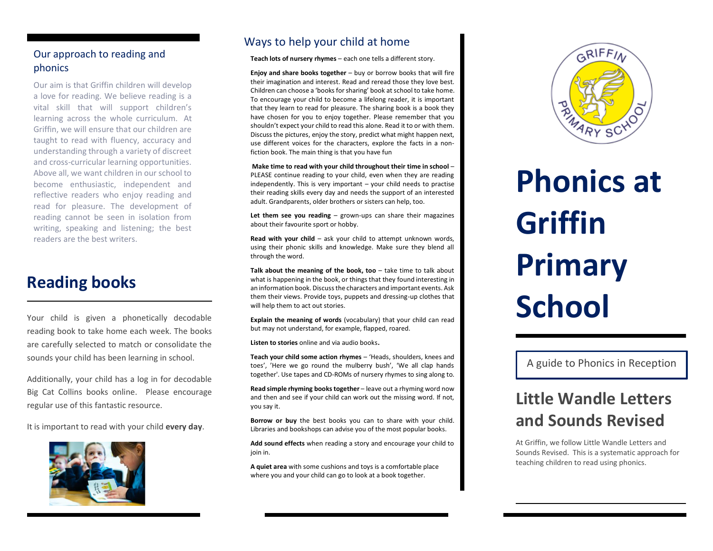### Our approach to reading and phonics

Our aim is that Griffin children will develop a love for reading. We believe reading is a vital skill that will support children's learning across the whole curriculum. At Griffin, we will ensure that our children are taught to read with fluency, accuracy and understanding through a variety of discreet and cross-curricular learning opportunities. Above all, we want children in our school to become enthusiastic, independent and reflective readers who enjoy reading and read for pleasure. The development of reading cannot be seen in isolation from writing, speaking and listening; the best readers are the best writers.

### **Reading books**

Your child is given a phonetically decodable reading book to take home each week. The books are carefully selected to match or consolidate the sounds your child has been learning in school.

Additionally, your child has a log in for decodable Big Cat Collins books online. Please encourage regular use of this fantastic resource.

It is important to read with your child **every day**.



r

### Ways to help your child at home

**Teach lots of nursery rhymes** – each one tells a different story.

**Enjoy and share books together** – buy or borrow books that will fire their imagination and interest. Read and reread those they love best. Children can choose a 'books for sharing' book at school to take home. To encourage your child to become a lifelong reader, it is important that they learn to read for pleasure. The sharing book is a book they have chosen for you to enjoy together. Please remember that you shouldn't expect your child to read this alone. Read it to or with them. Discuss the pictures, enjoy the story, predict what might happen next, use different voices for the characters, explore the facts in a nonfiction book. The main thing is that you have fun

**Make time to read with your child throughout their time in school** – PLEASE continue reading to your child, even when they are reading independently. This is very important – your child needs to practise their reading skills every day and needs the support of an interested adult. Grandparents, older brothers or sisters can help, too.

**Let them see you reading** – grown-ups can share their magazines about their favourite sport or hobby.

**Read with your child** – ask your child to attempt unknown words, using their phonic skills and knowledge. Make sure they blend all through the word.

**Talk about the meaning of the book, too** – take time to talk about what is happening in the book, or things that they found interesting in an information book. Discuss the characters and important events. Ask them their views. Provide toys, puppets and dressing-up clothes that will help them to act out stories.

**Explain the meaning of words** (vocabulary) that your child can read but may not understand, for example, flapped, roared.

**Listen to stories** online and via audio books**.**

**Teach your child some action rhymes** – 'Heads, shoulders, knees and toes', 'Here we go round the mulberry bush', 'We all clap hands together'. Use tapes and CD-ROMs of nursery rhymes to sing along to.

**Read simple rhyming books together** – leave out a rhyming word now and then and see if your child can work out the missing word. If not, you say it.

**Borrow or buy** the best books you can to share with your child. Libraries and bookshops can advise you of the most popular books.

**Add sound effects** when reading a story and encourage your child to join in.

**A quiet area** with some cushions and toys is a comfortable place where you and your child can go to look at a book together.



# **Phonics at Griffin Primary School**

A guide to Phonics in Reception

# **Little Wandle Letters and Sounds Revised**

At Griffin, we follow Little Wandle Letters and Sounds Revised. This is a systematic approach for teaching children to read using phonics.